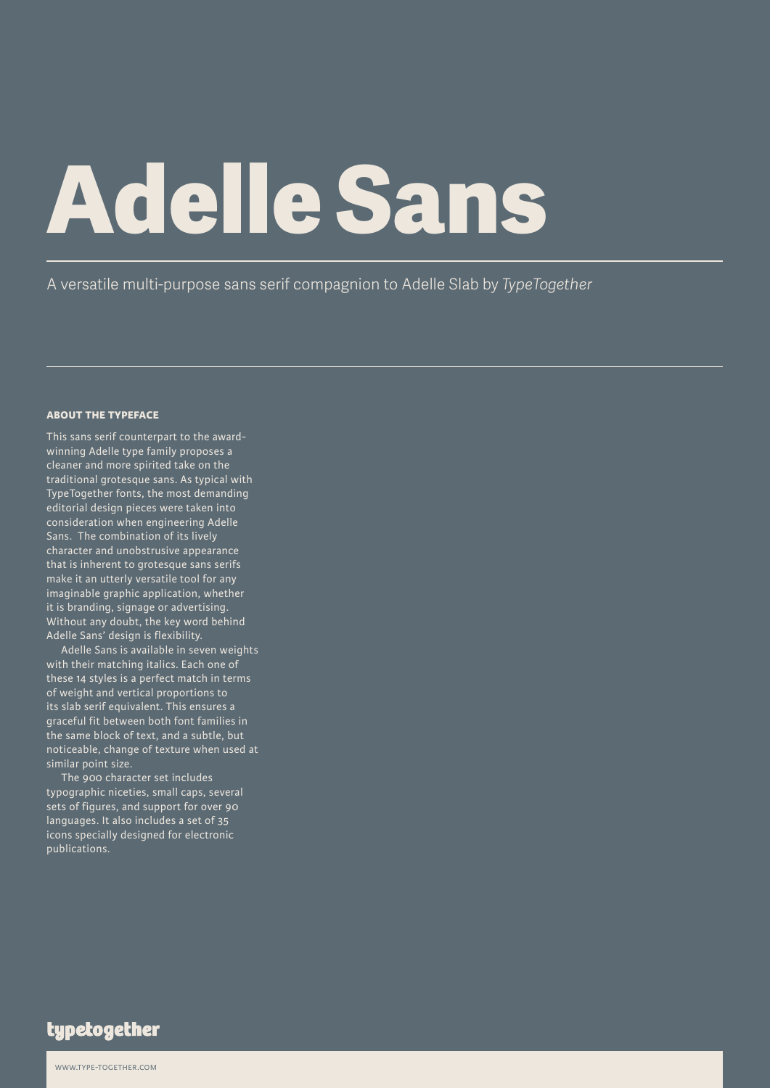# **Adelle Sans**

A versatile multi-purpose sans serif compagnion to Adelle Slab by *TypeTogether*

### **about the typeface**

This sans serif counterpart to the awardwinning Adelle type family proposes a cleaner and more spirited take on the traditional grotesque sans. As typical with TypeTogether fonts, the most demanding editorial design pieces were taken into consideration when engineering Adelle Sans. The combination of its lively character and unobstrusive appearance that is inherent to grotesque sans serifs make it an utterly versatile tool for any imaginable graphic application, whether it is branding, signage or advertising. Without any doubt, the key word behind Adelle Sans' design is flexibility.

Adelle Sans is available in seven weights with their matching italics. Each one of these 14 styles is a perfect match in terms of weight and vertical proportions to its slab serif equivalent. This ensures a graceful fit between both font families in the same block of text, and a subtle, but noticeable, change of texture when used at similar point size.

The 900 character set includes typographic niceties, small caps, several sets of figures, and support for over 90 languages. It also includes a set of 35 icons specially designed for electronic publications.

typetogether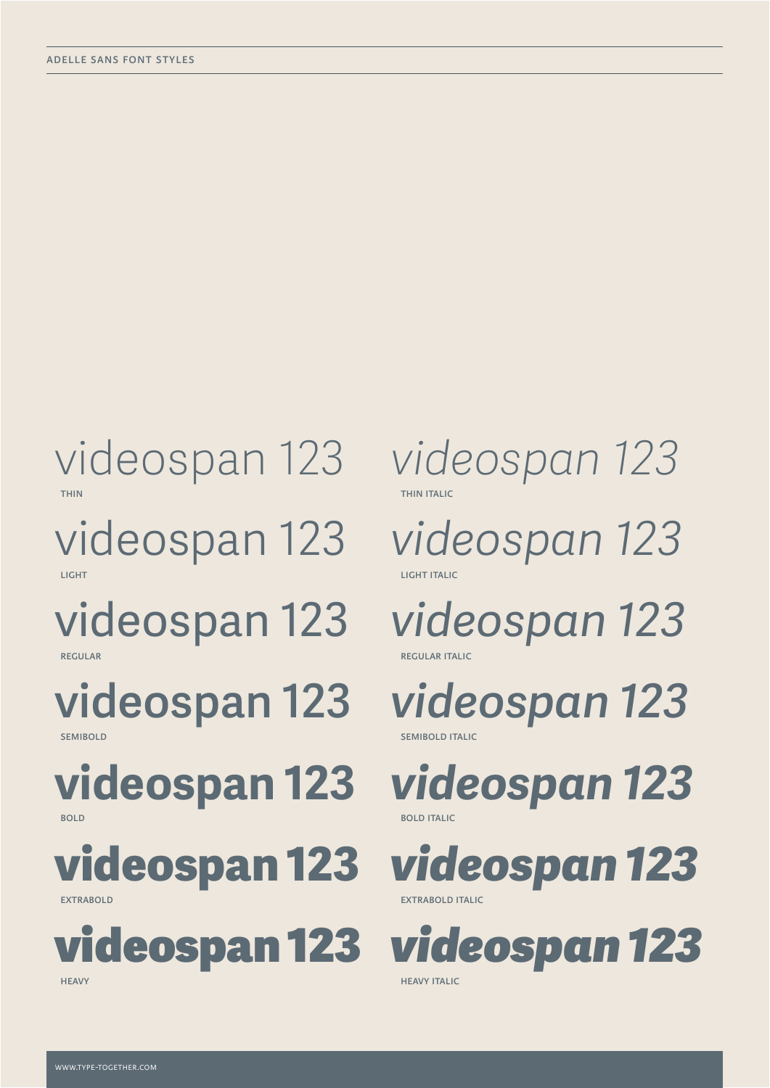# videospan 123 *videospan 123*

light light in the control of the control of the control of the control of the control of the control of the c<br>In the control of the control of the control of the control of the control of the control of the control of th

regular regular regular regular italic structure in the control of the control of the control of the control of the control of the control of the control of the control of the control of the control of the control of the c

semibold semi-bold semi-bold semi-bold semi-bold semi-bold semi-bold semi-bold semi-bold semi-bold semi-bold s

bold bold in the contract of the contract of the contract of the contract of the contract of the contract of the contract of the contract of the contract of the contract of the contract of the contract of the contract of t

**videospan 123** *videospan 123*



thin the contract of the contract of the contract of the contract of the contract of the contract of the contract of the contract of the contract of the contract of the contract of the contract of the contract of the contr

videospan 123 *videospan 123*

videospan 123 *videospan 123*

**videospan 123** *videospan 123*

**videospan 123** *videospan 123*

extrabold extrabold extra box and the contract of the contract of the contract of the contract of the contract of the contract of the contract of the contract of the contract of the contract of the contract of the contract

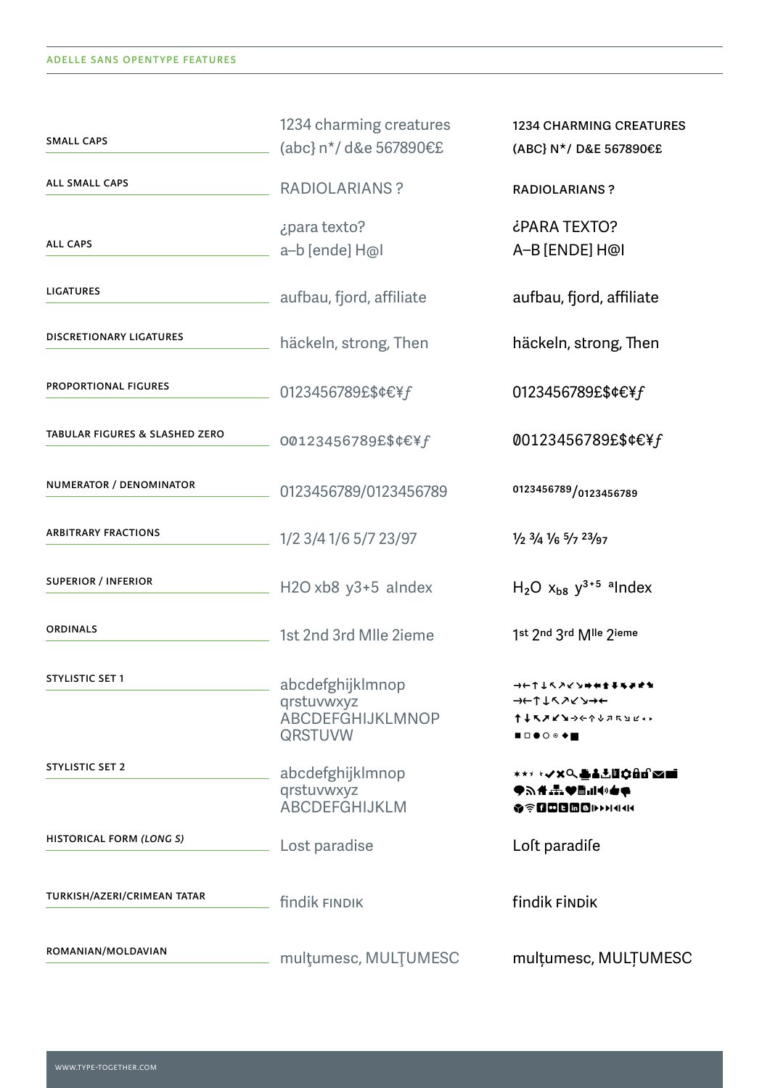| <b>SMALL CAPS</b>               | 1234 charming creatures<br>(abc} n <sup>*</sup> / d&e 567890€£              | <b>1234 CHARMING CREATURES</b><br>(ABC} N*/ D&E 567890€£                |
|---------------------------------|-----------------------------------------------------------------------------|-------------------------------------------------------------------------|
| ALL SMALL CAPS                  | <b>RADIOLARIANS?</b>                                                        | <b>RADIOLARIANS?</b>                                                    |
| <b>ALL CAPS</b>                 | ¿para texto?<br>a-b [ende] H@l                                              | ¿PARA TEXTO?<br>A-B [ENDE] H@I                                          |
| <b>LIGATURES</b>                | aufbau, fjord, affiliate                                                    | aufbau, fjord, affiliate                                                |
| <b>DISCRETIONARY LIGATURES</b>  | häckeln, strong, Then                                                       | häckeln, strong, Then                                                   |
| <b>PROPORTIONAL FIGURES</b>     | 0123456789£\$¢€¥f                                                           | 0123456789£\$¢€¥f                                                       |
| TABULAR FIGURES & SLASHED ZERO  | 00123456789£\$¢€¥f                                                          | 00123456789£\$¢€¥ $f$                                                   |
| NUMERATOR / DENOMINATOR         | 0123456789/0123456789                                                       | 0123456789/0123456789                                                   |
| <b>ARBITRARY FRACTIONS</b>      | 1/2 3/4 1/6 5/7 23/97                                                       | $\frac{1}{2}$ $\frac{3}{4}$ $\frac{1}{6}$ $\frac{5}{7}$ $\frac{23}{97}$ |
| <b>SUPERIOR / INFERIOR</b>      | $H2O$ xb8 y3+5 alndex                                                       | $H_2O$ $X_{b8}$ $y^{3+5}$ alndex                                        |
| <b>ORDINALS</b>                 | 1st 2nd 3rd Mlle 2ieme                                                      | 1st 2nd 3rd Mlle 2ieme                                                  |
| <b>STYLISTIC SET 1</b>          | abcdefghijklmnop<br>qrstuvwxyz<br><b>ABCDEFGHIJKLMNOP</b><br><b>QRSTUVW</b> | →←↑↑ぐうく♪⇒★↑↑▼↑♪↑<br>→←↑↓ヘノ くゝ→←<br>↑↓ጜጛ๔๖→←↑↓⋾ጜ๖๔ャ▸<br>◼▫◕◔◉◆◼          |
| <b>STYLISTIC SET 2</b>          | abcdefghijklmnop<br>qrstuvwxyz<br><b>ABCDEFGHIJKLM</b>                      | <sub>∗∗</sub> , ⊹⋌⋇∁₿å≛Ш¢åd≈≡<br><b>OF REBERTHAM</b>                    |
| <b>HISTORICAL FORM (LONG S)</b> | Lost paradise                                                               | Loft paradife                                                           |
| TURKISH/AZERI/CRIMEAN TATAR     | findik FINDIK                                                               | findik FINDIK                                                           |
| ROMANIAN/MOLDAVIAN              | multumesc, MULTUMESC                                                        | multumesc, MULTUMESC                                                    |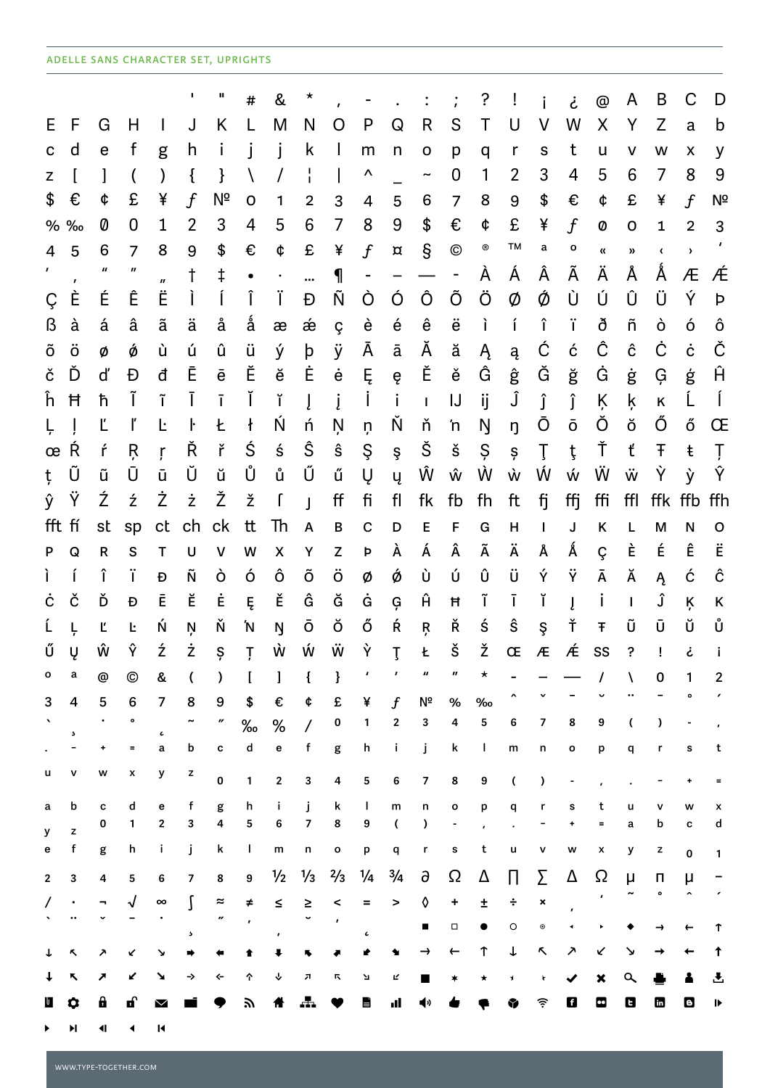# ADELLE SANS CHARACTER SET, UPRIGHTS

|                |           |                           |                  |                           | ٠              | Ш              | #          | &                  | $^\star$       |                    |                          |                |                           |                | ?      |           |                          | ݟ      | $^{\circledR}$            | A                          | B             | С               | D            |
|----------------|-----------|---------------------------|------------------|---------------------------|----------------|----------------|------------|--------------------|----------------|--------------------|--------------------------|----------------|---------------------------|----------------|--------|-----------|--------------------------|--------|---------------------------|----------------------------|---------------|-----------------|--------------|
| E.             | F         | G                         | Н                | I                         | J              | Κ              |            | M                  | N              | O                  | P                        | Q              | R                         | S              | T      | U         | V                        | W      | X                         | Υ                          | Z             | a               | b            |
| C              | d         | e                         | f                | g                         | h              | Ť              |            | Ť                  | k              | $\mathbf{I}$       | m                        | n              | O                         | p              | q      | r         | ${\sf S}$                | t      | U                         | v                          | W             | X               | y            |
| Z              |           |                           |                  |                           | $\mathcal{L}$  | }              |            |                    |                | $\mathbf{I}$       | Λ                        |                | $\widetilde{\phantom{m}}$ | 0              | 1      | 2         | 3                        | 4      | 5                         | 6                          | 7             | 8               | 9            |
| \$             | €         | ¢                         | £                | ¥                         | $\mathbf{f}$   | Νª             | 0          | 1                  | 2              | 3                  | 4                        | 5              | 6                         | $\overline{7}$ | 8      | 9         | \$                       | €      | ¢                         | £                          | ¥             | $\int$          | Nº           |
| %              | %         | 0                         | 0                | 1                         | $\overline{2}$ | 3              | 4          | 5                  | 6              | 7                  | 8                        | 9              | \$                        | €              | ¢      | £         | ¥                        | $\int$ | 0                         | 0                          | 1             | $\overline{2}$  | 3            |
| 4              | 5         | 6                         | $\overline{7}$   | 8                         | 9              | \$             | €          | ¢                  | £              | ¥                  | $\int$                   | $\pmb{\alpha}$ | S                         | $^{\circ}$     | ®      | TМ        | а                        | o      | $\pmb{\alpha}$            | $\boldsymbol{\mathcal{Y}}$ | $\pmb{\zeta}$ | $\pmb{\rangle}$ |              |
| $\mathbf{r}$   | $\pmb{r}$ | $\boldsymbol{\mathit{u}}$ | $\boldsymbol{H}$ | $\boldsymbol{\mathsf{u}}$ | t              | ŧ              | $\bullet$  | $\bullet$          |                | 1                  | $\overline{\phantom{0}}$ |                |                           | $\blacksquare$ | À      | Á         | Â                        | Ã      | Ä                         | Å                          | Å             | Æ               | Æ            |
| Ç              | È         | É                         | Ê                | Ë                         | Ť              | Í              | Î          | Ϊ                  | Đ              | Ñ                  | Ò                        | Ó              | Ô                         | Õ              | Ö      | Ø         | Ø                        | Ù      | Ú                         | Û                          | Ü             | Ý               | Þ            |
| ß              | à         | á                         | â                | ã                         | ä              | å              | å          | æ                  | æ              | Ç                  | è                        | é              | ê                         | ë              | ì      | í         | î                        | ï      | ð                         | ñ                          | ò             | ó               | ô            |
| õ              | ö         | Ø                         | Ó                | ù                         | ú              | û              | ü          | ý                  | þ              | ÿ                  | A                        | ā              | Ă                         | ă              | Ą      | ą         | Ć                        | ć      | Ĉ                         | ĉ                          | Ċ             | ċ               | Č            |
| č              | Ď         | ď                         | Đ                | đ                         | Ē              | ē              | Ĕ          | ĕ                  | Ė              | $\dot{\mathbf{e}}$ | Ę                        | ę              | Ě                         | ě              | Ĝ      | ĝ         | Ğ                        | ğ      | Ġ                         | ġ                          | Ģ             | ģ               | Ĥ            |
| ĥ              | Ħ         | ħ                         | Ĩ                | ĩ                         | Ī              | ī              | Ĭ          | ĭ                  | Į              | į                  | $\mathsf{I}$             | i              | $\mathbf{I}$              | IJ             | ij     | Ĵ         | Ĵ                        | ĵ      | Ķ                         | ķ                          | Κ             | L               | $\mathbf{I}$ |
| Ļ              |           | Ľ                         |                  | Ŀ                         | ŀ              | Ł              | $\ddagger$ | Ń                  | ń              | Ņ                  | ņ                        | Ň              | ň                         | 'n             | Ŋ      | ŋ         | Ō                        | ō      | Ŏ                         | ŏ                          | Ő             | ő               | Œ            |
| œ              | Ŕ         | ŕ                         | Ŗ                | ŗ                         | Ř              | ř              | Ś          | ś                  | Ŝ              | $\hat{\textbf{s}}$ | Ş                        | ş              | Š                         | š              | Ş      | Ş         | Ţ                        | ţ      | Ť                         | ť                          | Ŧ             | ŧ               | Ţ            |
| ţ              | Ũ         | ũ                         | Ū                | ū                         | Ŭ              | ŭ              | Ů          | ů                  | Ű              | ű                  | Ų                        | ų              | Ŵ                         | ŵ              | Ŵ      | Ŵ         | Ŵ                        | Ŵ      | Ŵ                         | Ŵ                          | Ý             | ý               | Ŷ            |
| ŷ              | Ϋ         | Ź                         | ź                | Ż                         | ż              | Ž              | ž          | $\int$             | $\mathbf{I}$   | ff                 | fi                       | fl             | fk                        | fb             | fh     | ft        | fj                       | ffj    | ffi                       | ffl                        | ffk           | ffb             | ffh          |
| fft            | fí        | st                        | sp               | ct                        | ch             | ck             | tt         | Th                 | A              | B                  | $\mathbf C$              | D              | E                         | F              | G      | Н         | T                        | J      | $\sf K$                   | L                          | M             | N               | o            |
| P              | Q         | $\mathsf{R}$              | S                | т                         | U              | V              | W          | $\pmb{\mathsf{X}}$ | Υ              | Z                  | Þ                        | À              | Á                         | Â              | Ã      | Ä         | Å                        | Á      | Ç                         | È                          | É             | Ê               | Ë            |
| Ì.             | í         | î                         | ï                | Ð                         | Ñ              | ò              | ó          | ô                  | Õ              | ö                  | Ø                        | ø              | Ù                         | ú              | Û      | ü         | Ý                        | Ÿ      | Ā                         | Ă                          | Ą             | ć               | ĉ            |
| ċ<br>Ĺ         | č         | Ď                         | Đ                | Ē<br>Ń                    | Ĕ              | Ė<br>Ň         | Ę          | Ě                  | Ĝ<br>ō         | Ğ<br>Ŏ             | Ġ<br>Ő                   | Ģ<br>Ŕ         | Ĥ                         | Ħ<br>Ř         | ĩ<br>ś | ī<br>ŝ    | ĭ                        | Į<br>Ť | Ť<br>Ŧ                    | $\mathbf{I}$<br>Ũ          | Ĵ<br>Ū        | Ķ<br>ŭ          | Κ<br>Ů       |
| Ű              | Ļ<br>Ų    | Ľ<br>ŵ                    | Ŀ<br>Ŷ           | ź                         | Ņ<br>ż         | Ş              | 'N<br>Ţ    | Ŋ<br>Ŵ             | Ŵ              | Ŵ                  | Ý                        |                | Ŗ<br>Ł                    | š              | ž      | Œ         | Ş<br>$\pmb{\mathcal{A}}$ | Æ      | SS                        | ?                          | Ţ             | غ               |              |
| о              | a         | @                         | ©                | &                         |                | )              |            |                    |                | }                  |                          | $\mathsf{T}$   | "                         |                |        |           |                          |        |                           |                            | 0             |                 | 2            |
| 3              | 4         | 5                         | 6                | 7                         | 8              | 9              | \$         | €                  | ¢              | £                  | ¥                        | f              | Νª                        | $\%$           | $\%$   |           |                          |        |                           |                            |               |                 | ,            |
|                |           |                           | o                |                           |                | ″              | $\%$       | $\%$               | $\overline{1}$ | 0                  | 1                        | 2              | 3                         | 4              | 5      | 6         | 7                        | 8      | 9                         | (                          | $\lambda$     |                 |              |
|                | 5         | ۰                         | $\equiv$         | $\pmb{\mathcal{C}}$<br>a  | b              | c              | d          | e                  | f              | g                  | h                        | Ť              | j                         | k              | L      | ${\sf m}$ | n                        | o      | р                         | q                          | r             | s               | t            |
| u              | v         | w                         | x                | у                         | z              | $\pmb{0}$      | 1          | 2                  | 3              | 4                  | 5                        | 6              | 7                         | 8              | 9      | (         | $\lambda$                | ۰      |                           |                            |               |                 | $\equiv$     |
| a              | b         | C                         | d                | e                         | f              | g              | h          | j.                 | Ť              | k                  | $\mathsf{I}$             | m              | n                         | o              | p      | q         | r                        | s      | t                         | u                          |               | w               | x            |
| у              | z         | 0                         | 1                | 2                         | 3              | 4              | 5          | 6                  | 7              | 8                  | 9                        | (              | $\lambda$                 |                |        |           |                          |        | Ξ                         | a                          | b             | с               | d            |
| е              | f         | g                         | h                | Ť.                        | j              | k              | J.         | m                  | n              | o                  | р                        | q              | r                         | s              | t      | u         | ۷                        | W      | X                         | у                          | z             | 0               | 1            |
| $\overline{2}$ | 3         | 4                         | 5                | 6                         | 7              | 8              | 9          | $\frac{1}{2}$      | $\frac{1}{3}$  | $\frac{2}{3}$      | $\frac{1}{4}$            | $\frac{3}{4}$  | д                         | Ω              | Δ      | П         | Σ                        | Δ      | Ω                         | μ                          | П             | μ               |              |
|                |           |                           |                  | $\infty$                  |                | $\thickapprox$ | ≠          | ≤                  | $\geq$         | <                  | =                        | >              | ◊                         | +              | Ŧ      | ÷         | ×                        |        |                           |                            | $\bullet$     |                 |              |
|                |           |                           |                  |                           | Ċ,             | u              |            |                    |                |                    | $\epsilon$               |                | п                         | $\Box$         |        | O         | $\boldsymbol{\circ}$     |        |                           |                            |               |                 | ↑            |
| ↓              |           |                           |                  | ּצ                        |                |                |            |                    |                |                    |                          |                |                           |                |        | ↓         | Κ                        | ↗      | ↙                         | ↘                          |               |                 | ↑            |
|                | ↖         | ↗                         | K                | ↘                         | →              | ⇐              | ↑          | ↓                  | л              | π                  | Л                        | Ľ              |                           |                |        | ┪         | k                        |        | $\boldsymbol{\mathsf{x}}$ | $\alpha$                   |               |                 | ᅸ            |
| $\mathbf u$    | 0         | θ                         | Q,               | $\blacktriangledown$      |                |                | 57         | 骨                  |                |                    | E                        | d              | (⊅                        |                |        | ₩         | 令                        | 0      | $\bullet$                 | O                          | b             | O               | ⋫            |
|                | N         | ៕                         | ◀                | К                         |                |                |            |                    |                |                    |                          |                |                           |                |        |           |                          |        |                           |                            |               |                 |              |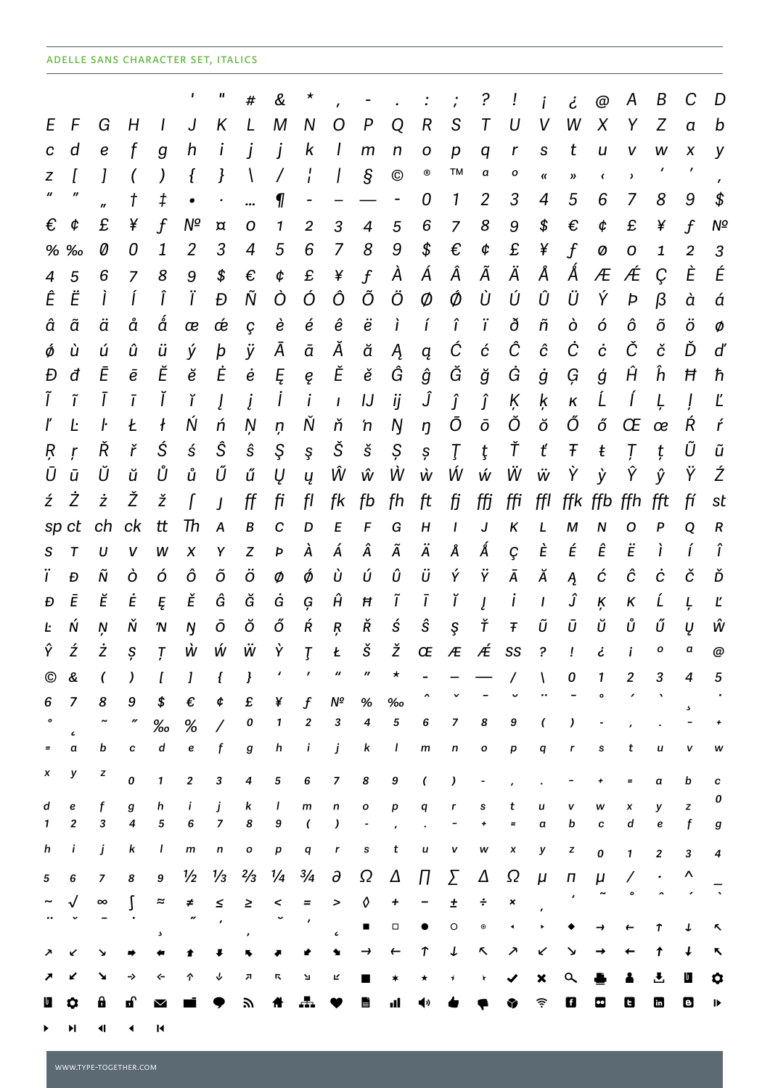# ADELLE SANS CHARACTER SET, ITALICS

|              |                       |                             |                |                              | ,              | Ш                   | #                | &                | $\star$               |                |                      |              |             |                                                                                                                | ?                    |          |               | نے                 | @              | A         | Β              | С              | D      |
|--------------|-----------------------|-----------------------------|----------------|------------------------------|----------------|---------------------|------------------|------------------|-----------------------|----------------|----------------------|--------------|-------------|----------------------------------------------------------------------------------------------------------------|----------------------|----------|---------------|--------------------|----------------|-----------|----------------|----------------|--------|
| E            | F                     | G                           | H              |                              | J              | Κ                   |                  | M                | N                     | O              | P                    | Q            | R           | S                                                                                                              | T                    | U        |               | W                  | X              | Y         | Z              | $\alpha$       | b      |
| $\mathbf c$  | d                     | e                           |                | g                            | h              |                     |                  | İ                | k                     | I              | m                    | $\mathsf{n}$ | O           | р                                                                                                              | q                    | r        | ${\mathsf S}$ | t                  | u              | v         | w              | X              | y      |
| z            |                       |                             |                |                              | ł              | ł                   |                  |                  |                       |                | $\mathcal{S}$        | $^{\circ}$   | ®           | TМ                                                                                                             | a                    | о        | «             | >>                 | $\pmb{\zeta}$  | $\lambda$ |                | $\mathbf{r}$   |        |
|              | $\boldsymbol{''}$     | $\boldsymbol{\prime\prime}$ | t              | ‡                            |                |                     |                  | 1                |                       |                |                      |              | 0           | 1                                                                                                              | 2                    | 3        | 4             | 5                  | 6              | 7         | 8              | 9              |        |
| €            | ¢                     | £                           | ¥              | $\mathbf{f}$                 | Νº             | $\overline{\alpha}$ | O                | 1                | $\overline{c}$        | 3              | $\overline{4}$       | 5            | 6           | $\overline{7}$                                                                                                 | 8                    | 9        | \$            | €                  | ¢              | £         | ¥              | $\overline{f}$ | Nº     |
|              | % ‰                   | 0                           | 0              | 1                            | $\overline{2}$ | 3                   | 4                | 5                | 6                     | 7              | 8                    | 9            | \$          | €                                                                                                              | ¢                    | £        | ¥             | $\overline{f}$     | 0              | 0         | 1              | $\overline{2}$ | 3      |
| 4            | 5                     | 6                           | $\overline{z}$ | 8                            | 9              | \$                  | €                | ¢                | £                     | ¥              | $\int$               | À            | Á           | Â                                                                                                              | Ã                    | Ä        | Å             | Á                  | Æ              | Æ         | Ç              | È              | É      |
| Ê            | Ë                     |                             |                |                              | Ϊ              | Đ                   | Ñ                | Ò                | Ó                     | Ô              | Õ                    | Ö            | Ø           | Ó                                                                                                              | Ù                    | Ú        | Û             | Ü                  | Ý              | Þ         | $\beta$        | à              | á      |
| â            | ã                     | ä                           | å              | å                            | æ              | œ                   | ç                | è                | é                     | ê              | ë                    | ì            | í           | î                                                                                                              | ï                    | ð        | ñ             | ò                  | ó              | ô         | õ              | ö              | Ø      |
| Ó            | ù                     | ú                           | û              | ü                            | ý              | þ                   | ÿ                | Ā                | ā                     | Ă              | ă                    | Ą            | ą           | Ć                                                                                                              | ć                    | Ĉ        | ĉ             | Ċ                  | ċ              | Č         | č              | Ď              | ď      |
| Đ            | đ                     | Ē                           | ē              | Ĕ                            | ĕ              | Ė                   | $\dot{e}$        | Ę                | ę                     | Ě              | ě                    | Ĝ            | ĝ           | Ğ                                                                                                              | ğ                    | Ġ        | ġ             | Ģ                  | ģ              | Ĥ         | ĥ              | Ħ              | ħ      |
| Ĩ            | ĩ                     |                             | ī              | Ĭ                            | ĭ              | Į                   | į                | $\overline{I}$   | i                     | $\mathbf{I}$   | IJ                   | ij           | Ĵ           | Î                                                                                                              | ĵ                    | Ķ        | ķ             | $\pmb{\mathsf{K}}$ | Ĺ              | Í         | Ļ              |                | Ľ      |
| ľ            | Ŀ                     | ŀ                           | Ł              | ł                            | Ń              | ń                   | Ņ                | ņ                | Ň                     | ň              | 'n                   | Ŋ            | ŋ           | Ō                                                                                                              | ō                    | Ŏ        | ŏ             | Ő                  | ő              | Œ         | œ              | Ŕ              | ŕ      |
| Ŗ            | ŗ                     | Ř                           | ř              | Ś                            | ś              | Ŝ                   | ŝ                | Ş                | ş                     | Š              | $\check{\textrm{s}}$ | Ş            | ş           | Ţ                                                                                                              | ţ                    | Ť        | ť             | Ŧ                  | ŧ              | Ţ         | ţ              | Ũ              | ũ      |
| Ū            | ū                     | Ŭ                           | й              | Ů                            | ů              | Ű                   | ű                | Ų                | ų                     | Ŵ              | ŵ                    | Ŵ            | Ŵ           | Ŵ                                                                                                              | Ŵ                    | Ŵ        | Ŵ             | Ý                  | ý              | Ŷ         | ŷ              | Ϋ              | Ź      |
| ź            | Ż                     | ż                           | Ž              | ž                            | ſ              | $\overline{I}$      | ff               | fi               | fl                    | fk             | fb                   | fh           | ft          | fj                                                                                                             | ffj                  | ffi      | ffl           | ffk                | ffb            | ffh       | fft            | fí             | st     |
|              | sp ct                 | ch                          | ck             | tt                           | Th             | A                   | $\boldsymbol{B}$ | $\boldsymbol{c}$ | D                     | E              | F                    | G            | H           | $\prime$                                                                                                       | $\pmb{J}$            | Κ        | L             | M                  | N              | O         | P              | Q              | R      |
| S            | T                     | U                           | V              | W                            | X              | Y                   | $\boldsymbol{Z}$ | Þ                | À                     | Á              | Â                    | Ã            | Ä           | Å                                                                                                              | Á                    | Ç        | È             | É                  | Ê              | Ë         | ì              | Í              | î      |
| ï            | Đ                     | Ñ                           | ò              | ó                            | ô              | õ                   | ö                | Ø                | Ó                     | Ù              | Ú                    | û            | ü           | Ý                                                                                                              | Ϋ                    | Ā        | Ă             | Ą                  | ć              | ĉ         | ċ              | č              | Ď      |
| Đ            | Ē                     | Ĕ                           | Ė              | Ę                            | Ě              | Ĝ                   | Ğ                | Ġ                | Ģ                     | Ĥ              | Ħ                    | ĩ            | Ī           | ĭ                                                                                                              | Į                    | İ        | $\mathbf{I}$  | Ĵ                  | Ķ              | Κ         | Ĺ              | Ļ              | Ľ      |
| Ŀ            | Ń                     | Ņ                           | Ň              | 'N                           | Ŋ              | Ō                   | Ŏ                | Ő                | Ŕ                     | Ŗ              | Ř                    | ś            | ŝ           | Ş                                                                                                              | Ť                    | Ŧ        | Ũ             | Ū                  | Ŭ              | Ů         | Ű              | Ų              | Ŵ      |
| Ŷ            | ź                     | ż                           | Ş              | $\overline{I}$               | Ŵ              | Ŵ                   | Ŵ                | Ý                | $\tau$                | Ł              | š                    | ž            | Œ           | $\mathcal{A}% _{T}=\mathcal{A}_{T}\!\left( a,b\right) ,\ \mathcal{A}_{T}=\mathcal{A}_{T}\!\left( a,b\right) ,$ | Æ                    | SS       | ?             | Ţ                  | ċ              | i         | ο              | a              | @      |
| $^{\circ}$   | &                     |                             | $\lambda$      |                              | I              | ł                   | J                |                  |                       | "              |                      |              |             |                                                                                                                |                      |          |               | 0                  | 1              | 2         | 3              | 4              | 5      |
| 6            | 7                     | 8                           | 9<br>n         | \$                           | €              | ¢                   | £<br>0           | ¥<br>1           | $\boldsymbol{f}$<br>2 | Nº<br>3        | %<br>4               | ‰<br>5       | 6           | 7                                                                                                              | 8                    | 9        | (             | $\lambda$          |                |           |                | د              | +      |
| $\equiv$     | с<br>a                | b                           | c              | $\%$<br>d                    | %<br>e         | $\overline{1}$<br>f | g                | h                | i                     | j              | k                    | $\mathbf{I}$ | $\,$ m $\,$ | n                                                                                                              | ο                    | p        | q             | r                  | s              | t         | u              | v              | w      |
| $\pmb{\chi}$ | у                     | z                           |                |                              |                |                     |                  |                  |                       |                |                      |              |             |                                                                                                                |                      |          |               |                    |                |           |                |                |        |
|              |                       |                             | 0              | 1                            | 2              | 3                   | 4                | 5                | 6                     | $\overline{z}$ | 8                    | 9            | $\epsilon$  | )                                                                                                              |                      |          |               |                    | ۰              | Ξ         | a              | b              | c<br>0 |
| d<br>1       | e<br>$\boldsymbol{2}$ | f<br>3                      | g<br>4         | h<br>5                       | i<br>6         | j<br>$\overline{z}$ | k<br>8           | 1<br>9           | $\,$ m $\,$           | n<br>,         | О                    | р            | q           | r                                                                                                              | s                    | t<br>$=$ | u<br>a        | v<br>b             | W<br>c         | x<br>d    | y<br>e         | z<br>f         | g      |
| h            | i                     | j                           | k              | I                            | m              | n                   | О                | р                | q                     | r              | S                    | t            | u           | v                                                                                                              | W                    | X        | у             | z                  | 0              | 1         | $\overline{2}$ | 3              | 4      |
|              | 6                     | 7                           | 8              | 9                            | $\frac{1}{2}$  | $\frac{1}{3}$       | $\frac{2}{3}$    | $\frac{1}{4}$    | $\frac{3}{4}$         | $\partial$     | Ω                    | Δ            | П           | Σ                                                                                                              | Δ                    | Ω        | $\mu$         | п                  | $\mu$          |           |                | Λ              |        |
| 5            |                       | $\infty$                    |                | ≈                            | ≠              | $\leq$              | $\geq$           | <                | $=$                   | >              | O                    | +            | -           | Ŧ                                                                                                              | $\div$               | ×        |               |                    |                |           |                |                |        |
|              |                       |                             |                |                              |                |                     |                  |                  | ı                     |                | ■                    | $\Box$       |             | O                                                                                                              | $\boldsymbol{\odot}$ |          |               |                    |                |           | T              | ┹              | Κ.     |
| ↗            |                       |                             |                |                              |                |                     | $\pmb{r}$        |                  |                       | $\epsilon$     | →                    | ←            | T           | ↓                                                                                                              | Κ                    | ↗        | ↙             | ↘                  |                |           | ↑              | ↓              | 5      |
|              |                       | ↘                           | →              |                              | ↑              | ↓                   | л                | π                | Я                     | Ľ              |                      | ∗            | ★           | J                                                                                                              | r                    |          | ×             | Q                  |                |           | 군              | U              | 0      |
| U            | 0                     | θ                           | Q,             | $\boldsymbol{\triangledown}$ |                |                     | 57               | ₩,               |                       |                | E                    | d            | (⊅          |                                                                                                                |                      | ₩        | 令             | O                  | $\blacksquare$ | O         | m              | О              | ₽      |
|              | N                     | ៕                           | ◀              | $\blacksquare$               |                |                     |                  |                  |                       |                |                      |              |             |                                                                                                                |                      |          |               |                    |                |           |                |                |        |